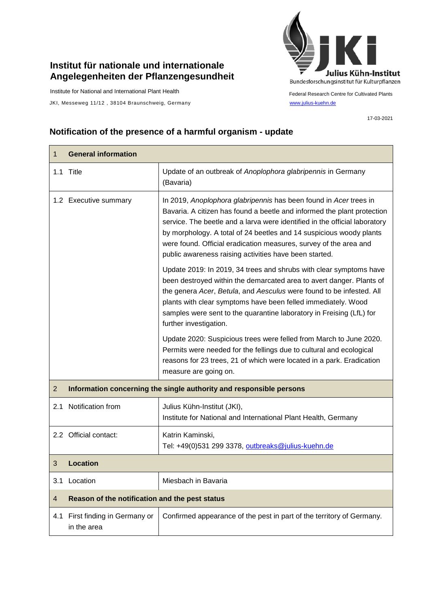## **Institut für nationale und internationale Angelegenheiten der Pflanzengesundheit**

Institute for National and International Plant Health

JKI, Messeweg 11/12, 38104 Braunschweig, Germany [www.julius-kuehn.de](http://www.julius-kuehn.de/)



Federal Research Centre for Cultivated Plants

17-03-2021

## **Notification of the presence of a harmful organism - update**

| 1              | <b>General information</b>                                          |                                                                                                                                                                                                                                                                                                                                                                                                                                  |
|----------------|---------------------------------------------------------------------|----------------------------------------------------------------------------------------------------------------------------------------------------------------------------------------------------------------------------------------------------------------------------------------------------------------------------------------------------------------------------------------------------------------------------------|
|                | 1.1 Title                                                           | Update of an outbreak of Anoplophora glabripennis in Germany<br>(Bavaria)                                                                                                                                                                                                                                                                                                                                                        |
|                | 1.2 Executive summary                                               | In 2019, Anoplophora glabripennis has been found in Acer trees in<br>Bavaria. A citizen has found a beetle and informed the plant protection<br>service. The beetle and a larva were identified in the official laboratory<br>by morphology. A total of 24 beetles and 14 suspicious woody plants<br>were found. Official eradication measures, survey of the area and<br>public awareness raising activities have been started. |
|                |                                                                     | Update 2019: In 2019, 34 trees and shrubs with clear symptoms have<br>been destroyed within the demarcated area to avert danger. Plants of<br>the genera Acer, Betula, and Aesculus were found to be infested. All<br>plants with clear symptoms have been felled immediately. Wood<br>samples were sent to the quarantine laboratory in Freising (LfL) for<br>further investigation.                                            |
|                |                                                                     | Update 2020: Suspicious trees were felled from March to June 2020.<br>Permits were needed for the fellings due to cultural and ecological<br>reasons for 23 trees, 21 of which were located in a park. Eradication<br>measure are going on.                                                                                                                                                                                      |
| 2              | Information concerning the single authority and responsible persons |                                                                                                                                                                                                                                                                                                                                                                                                                                  |
| 2.1            | Notification from                                                   | Julius Kühn-Institut (JKI),<br>Institute for National and International Plant Health, Germany                                                                                                                                                                                                                                                                                                                                    |
|                | 2.2 Official contact:                                               | Katrin Kaminski,<br>Tel: +49(0)531 299 3378, outbreaks@julius-kuehn.de                                                                                                                                                                                                                                                                                                                                                           |
| 3              | <b>Location</b>                                                     |                                                                                                                                                                                                                                                                                                                                                                                                                                  |
|                | 3.1 Location                                                        | Miesbach in Bavaria                                                                                                                                                                                                                                                                                                                                                                                                              |
| $\overline{4}$ | Reason of the notification and the pest status                      |                                                                                                                                                                                                                                                                                                                                                                                                                                  |
| 4.1            | First finding in Germany or<br>in the area                          | Confirmed appearance of the pest in part of the territory of Germany.                                                                                                                                                                                                                                                                                                                                                            |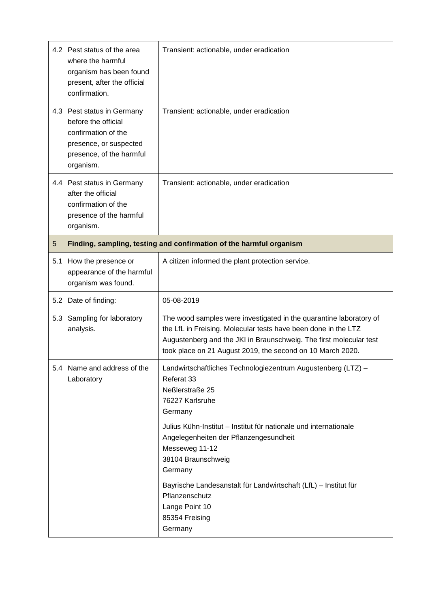|     | 4.2 Pest status of the area<br>where the harmful<br>organism has been found<br>present, after the official<br>confirmation.                 | Transient: actionable, under eradication                                                                                                                                                                                                                                                                                                                                                                                         |
|-----|---------------------------------------------------------------------------------------------------------------------------------------------|----------------------------------------------------------------------------------------------------------------------------------------------------------------------------------------------------------------------------------------------------------------------------------------------------------------------------------------------------------------------------------------------------------------------------------|
|     | 4.3 Pest status in Germany<br>before the official<br>confirmation of the<br>presence, or suspected<br>presence, of the harmful<br>organism. | Transient: actionable, under eradication                                                                                                                                                                                                                                                                                                                                                                                         |
|     | 4.4 Pest status in Germany<br>after the official<br>confirmation of the<br>presence of the harmful<br>organism.                             | Transient: actionable, under eradication                                                                                                                                                                                                                                                                                                                                                                                         |
| 5   |                                                                                                                                             | Finding, sampling, testing and confirmation of the harmful organism                                                                                                                                                                                                                                                                                                                                                              |
| 5.1 | How the presence or<br>appearance of the harmful<br>organism was found.                                                                     | A citizen informed the plant protection service.                                                                                                                                                                                                                                                                                                                                                                                 |
|     | 5.2 Date of finding:                                                                                                                        | 05-08-2019                                                                                                                                                                                                                                                                                                                                                                                                                       |
| 5.3 | Sampling for laboratory<br>analysis.                                                                                                        | The wood samples were investigated in the quarantine laboratory of<br>the LfL in Freising. Molecular tests have been done in the LTZ<br>Augustenberg and the JKI in Braunschweig. The first molecular test<br>took place on 21 August 2019, the second on 10 March 2020.                                                                                                                                                         |
|     | 5.4 Name and address of the<br>Laboratory                                                                                                   | Landwirtschaftliches Technologiezentrum Augustenberg (LTZ) -<br>Referat 33<br>Neßlerstraße 25<br>76227 Karlsruhe<br>Germany<br>Julius Kühn-Institut - Institut für nationale und internationale<br>Angelegenheiten der Pflanzengesundheit<br>Messeweg 11-12<br>38104 Braunschweig<br>Germany<br>Bayrische Landesanstalt für Landwirtschaft (LfL) - Institut für<br>Pflanzenschutz<br>Lange Point 10<br>85354 Freising<br>Germany |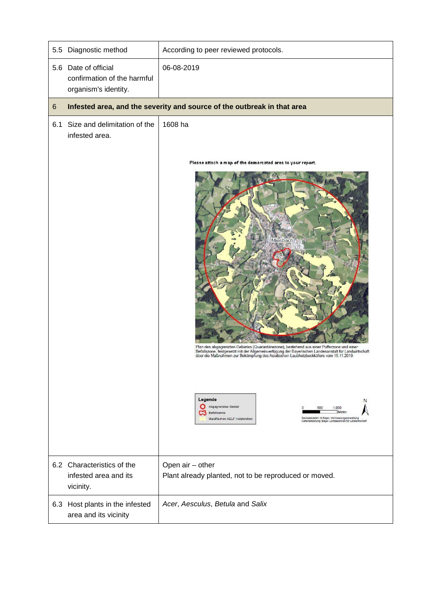| 5.5 | Diagnostic method                                                           | According to peer reviewed protocols.                                                                                                                                                                                                                                                                                                                                                                                                                                                                                                                                                                       |
|-----|-----------------------------------------------------------------------------|-------------------------------------------------------------------------------------------------------------------------------------------------------------------------------------------------------------------------------------------------------------------------------------------------------------------------------------------------------------------------------------------------------------------------------------------------------------------------------------------------------------------------------------------------------------------------------------------------------------|
|     | 5.6 Date of official<br>confirmation of the harmful<br>organism's identity. | 06-08-2019                                                                                                                                                                                                                                                                                                                                                                                                                                                                                                                                                                                                  |
| 6   |                                                                             | Infested area, and the severity and source of the outbreak in that area                                                                                                                                                                                                                                                                                                                                                                                                                                                                                                                                     |
|     | 6.1 Size and delimitation of the<br>infested area.                          | 1608 ha<br>Please attach a map of the demarcated area to your report.<br>Miesbach<br>Plan des abgegrenzten Gebietes (Quarantänezone), bestehend aus einer Pufferzone und einer<br>Befallszone, festgesetzt mit der Allgemeinverfügung der Bayerischen Landesanstalt für Landwirtschaft<br>über die Maßnahmen zur Bekämpfung des Asiatischen Laubholzbockkäfers vom 15.11.2019.<br>Legende<br>N<br>Abgegrenztes Gebiet<br>1.000<br>500<br>Meter<br>Befallszone<br>Geobasisdaten: @ Bayer. Vermessungsverwaltung<br>Waldflächen AELF Holzkirchen<br>Karlenerstellung: Bayer. Landesanstalt für Landwirtschaft |
|     | 6.2 Characteristics of the<br>infested area and its<br>vicinity.            | Open air - other<br>Plant already planted, not to be reproduced or moved.                                                                                                                                                                                                                                                                                                                                                                                                                                                                                                                                   |
|     | 6.3 Host plants in the infested<br>area and its vicinity                    | Acer, Aesculus, Betula and Salix                                                                                                                                                                                                                                                                                                                                                                                                                                                                                                                                                                            |